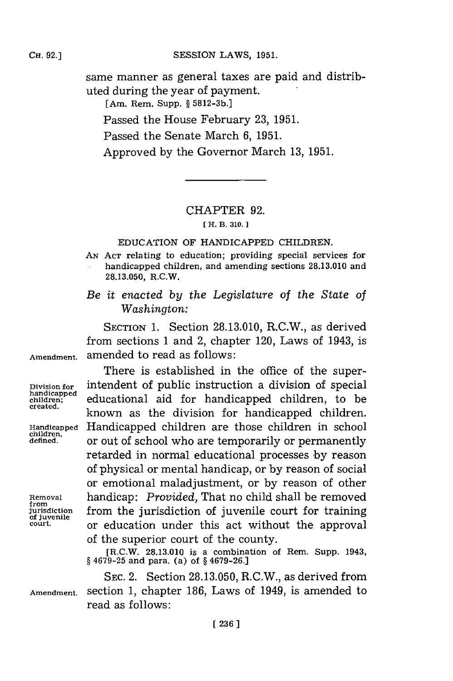**Cii.92.]SESSION** LAWS, **1951.**

same manner as general taxes are paid and distributed during the year of payment.

[Am. Rem. Supp. **§ 5812-3b.]**

Passed the House February **23, 1951.**

Passed the Senate March **6, 1951.**

Approved **by** the Governor March **13, 195 1.**

### CHAPTER **92.**

## **[ H. B. 310.]**

## **EDUCATION** OF **HANDICAPPED** CHILDREN.

**AN ACT relating** to education; providing special services for handicapped children, and amending sections **28.13.010** and **28.13.050,** R.C.W.

*Be it enacted by the Legislature of the State of Washington:*

**SECTION 1.** Section **28.13.010,** R.C.W., as derived from sections **1** and 2, chapter 120, Laws of 1943, is **Amendment,** amended to read as follows:

**children,**

There is established in the office of the super-**Division for** intendent of public instruction a division of special **handicapped** manucapped educational aid for handicapped children, to be created. known as the division for handicapped children. **Handicapped** Handicapped children are those children in school **defined,** or out of school who are temporarily or permanently ret'arded in normal educational processes **by** reason of physical or mental handicap, or **by** reason of social or emotional maladjustment, or **by** reason of other **Removal** handicap: *Provided,* That no child shall be removed **jurisdiction** from the jurisdiction of juvenile court for training or education under this act without the approval of the superior court of the county.

> [R.C.W. **28.13.010** is a combination of Rem. Supp. 1943, **§ 4679-25** and para. (a) of **§ 4679-26.]**

**SEC.** 2. Section **28.13.050,** R.C.W., as derived from **Amendment.** section **1,** chapter **186,** Laws of 1949, is amended to read as follows:

**[ 236]1**